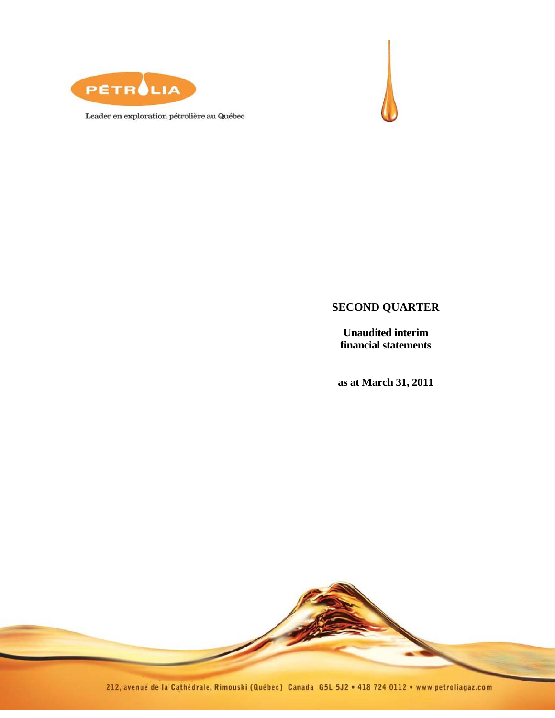

Leader en exploration pétrolière au Québec



## **SECOND QUARTER**

**Unaudited interim financial statements** 

**as at March 31, 2011** 



212, avenue de la Cathédrale, Rimouski (Québec) Canada G5L 5J2 · 418 724 0112 · www.petroliagaz.com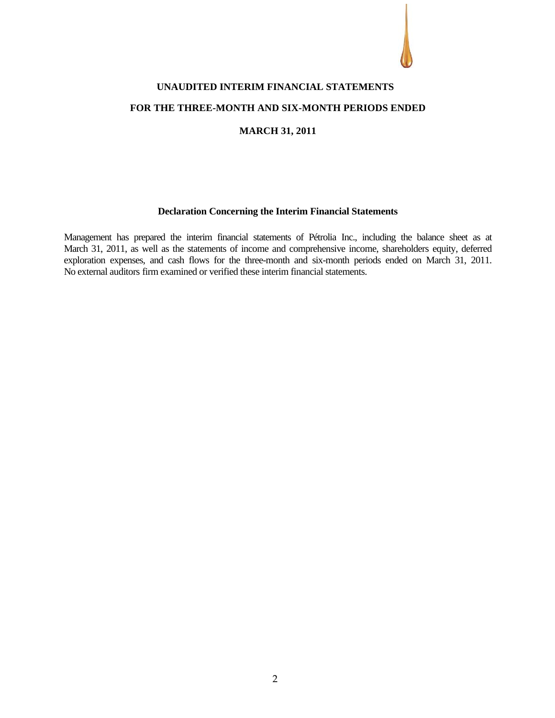

# **UNAUDITED INTERIM FINANCIAL STATEMENTS FOR THE THREE-MONTH AND SIX-MONTH PERIODS ENDED**

#### **MARCH 31, 2011**

#### **Declaration Concerning the Interim Financial Statements**

Management has prepared the interim financial statements of Pétrolia Inc., including the balance sheet as at March 31, 2011, as well as the statements of income and comprehensive income, shareholders equity, deferred exploration expenses, and cash flows for the three-month and six-month periods ended on March 31, 2011. No external auditors' firm examined or verified these interim financial statements.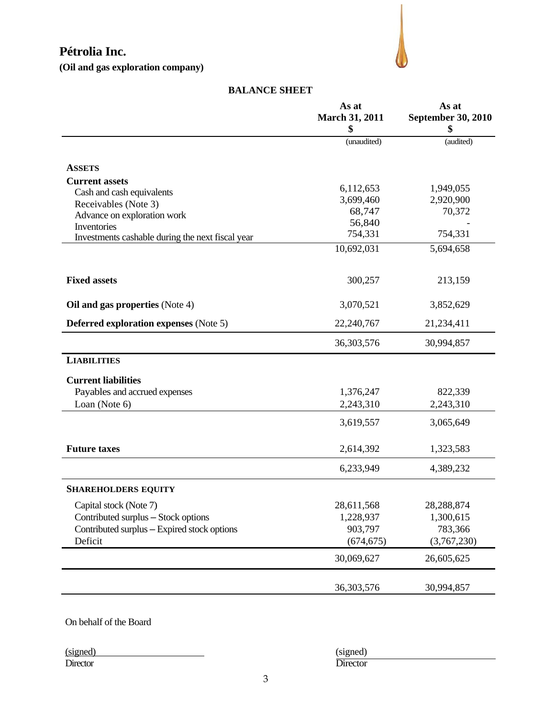**(Oil and gas exploration company)** 



#### **BALANCE SHEET**

|                                                  | As at<br><b>March 31, 2011</b> | As at<br><b>September 30, 2010</b> |
|--------------------------------------------------|--------------------------------|------------------------------------|
|                                                  | \$                             |                                    |
|                                                  | (unaudited)                    | (audited)                          |
| <b>ASSETS</b>                                    |                                |                                    |
| <b>Current assets</b>                            |                                |                                    |
| Cash and cash equivalents                        | 6,112,653                      | 1,949,055                          |
| Receivables (Note 3)                             | 3,699,460                      | 2,920,900                          |
| Advance on exploration work                      | 68,747                         | 70,372                             |
| Inventories                                      | 56,840                         |                                    |
| Investments cashable during the next fiscal year | 754,331                        | 754,331                            |
|                                                  | 10,692,031                     | 5,694,658                          |
| <b>Fixed assets</b>                              | 300,257                        | 213,159                            |
| Oil and gas properties (Note 4)                  | 3,070,521                      | 3,852,629                          |
| <b>Deferred exploration expenses (Note 5)</b>    | 22,240,767                     | 21,234,411                         |
|                                                  | 36, 303, 576                   | 30,994,857                         |
| <b>LIABILITIES</b>                               |                                |                                    |
| <b>Current liabilities</b>                       |                                |                                    |
| Payables and accrued expenses                    | 1,376,247                      | 822,339                            |
| Loan (Note 6)                                    | 2,243,310                      | 2,243,310                          |
|                                                  | 3,619,557                      | 3,065,649                          |
| <b>Future taxes</b>                              | 2,614,392                      | 1,323,583                          |
|                                                  | 6,233,949                      | 4,389,232                          |
| <b>SHAREHOLDERS EQUITY</b>                       |                                |                                    |
| Capital stock (Note 7)                           | 28,611,568                     | 28,288,874                         |
| Contributed surplus - Stock options              | 1,228,937                      | 1,300,615                          |
| Contributed surplus - Expired stock options      | 903,797                        | 783,366                            |
| Deficit                                          | (674, 675)                     | (3,767,230)                        |
|                                                  | 30,069,627                     | 26,605,625                         |
|                                                  | 36, 303, 576                   | 30,994,857                         |

On behalf of the Board

(signed) (signed) Director Director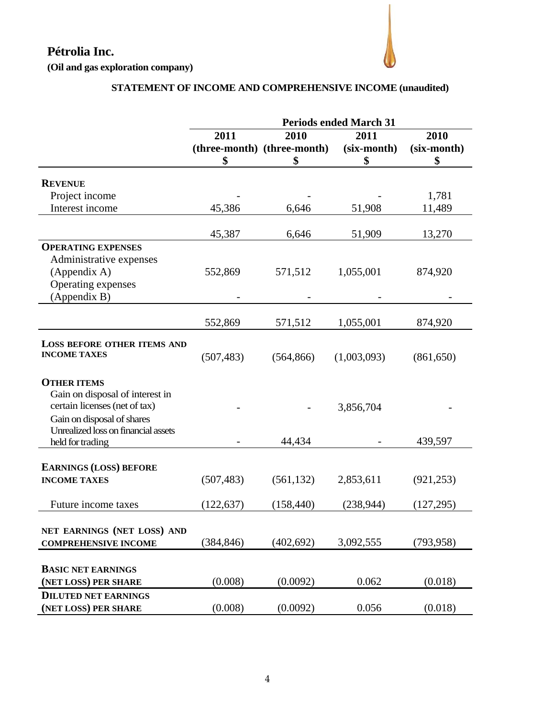**(Oil and gas exploration company)**

## **STATEMENT OF INCOME AND COMPREHENSIVE INCOME (unaudited)**

|                                     | <b>Periods ended March 31</b> |                             |             |             |  |
|-------------------------------------|-------------------------------|-----------------------------|-------------|-------------|--|
|                                     | 2011                          | 2010                        | 2011        | 2010        |  |
|                                     |                               | (three-month) (three-month) | (six-month) | (six-month) |  |
|                                     | \$                            | \$                          | \$          | \$          |  |
| <b>REVENUE</b>                      |                               |                             |             |             |  |
| Project income                      |                               |                             |             | 1,781       |  |
| Interest income                     | 45,386                        | 6,646                       | 51,908      | 11,489      |  |
|                                     |                               |                             |             |             |  |
|                                     | 45,387                        | 6,646                       | 51,909      | 13,270      |  |
| <b>OPERATING EXPENSES</b>           |                               |                             |             |             |  |
| Administrative expenses             |                               |                             |             |             |  |
| (Appendix A)                        | 552,869                       | 571,512                     | 1,055,001   | 874,920     |  |
| Operating expenses                  |                               |                             |             |             |  |
| (Appendix B)                        |                               |                             |             |             |  |
|                                     |                               |                             |             |             |  |
|                                     | 552,869                       | 571,512                     | 1,055,001   | 874,920     |  |
| <b>LOSS BEFORE OTHER ITEMS AND</b>  |                               |                             |             |             |  |
| <b>INCOME TAXES</b>                 | (507, 483)                    | (564, 866)                  | (1,003,093) | (861, 650)  |  |
|                                     |                               |                             |             |             |  |
| <b>OTHER ITEMS</b>                  |                               |                             |             |             |  |
| Gain on disposal of interest in     |                               |                             |             |             |  |
| certain licenses (net of tax)       |                               |                             | 3,856,704   |             |  |
| Gain on disposal of shares          |                               |                             |             |             |  |
| Unrealized loss on financial assets |                               |                             |             |             |  |
| held for trading                    |                               | 44,434                      |             | 439,597     |  |
|                                     |                               |                             |             |             |  |
| <b>EARNINGS (LOSS) BEFORE</b>       |                               |                             |             |             |  |
| <b>INCOME TAXES</b>                 | (507, 483)                    | (561, 132)                  | 2,853,611   | (921, 253)  |  |
| Future income taxes                 | (122, 637)                    | (158, 440)                  | (238, 944)  | (127, 295)  |  |
|                                     |                               |                             |             |             |  |
| NET EARNINGS (NET LOSS) AND         |                               |                             |             |             |  |
| <b>COMPREHENSIVE INCOME</b>         | (384, 846)                    | (402, 692)                  | 3,092,555   | (793, 958)  |  |
|                                     |                               |                             |             |             |  |
| <b>BASIC NET EARNINGS</b>           |                               |                             |             |             |  |
| (NET LOSS) PER SHARE                | (0.008)                       | (0.0092)                    | 0.062       | (0.018)     |  |
| <b>DILUTED NET EARNINGS</b>         |                               |                             |             |             |  |
| (NET LOSS) PER SHARE                | (0.008)                       | (0.0092)                    | 0.056       | (0.018)     |  |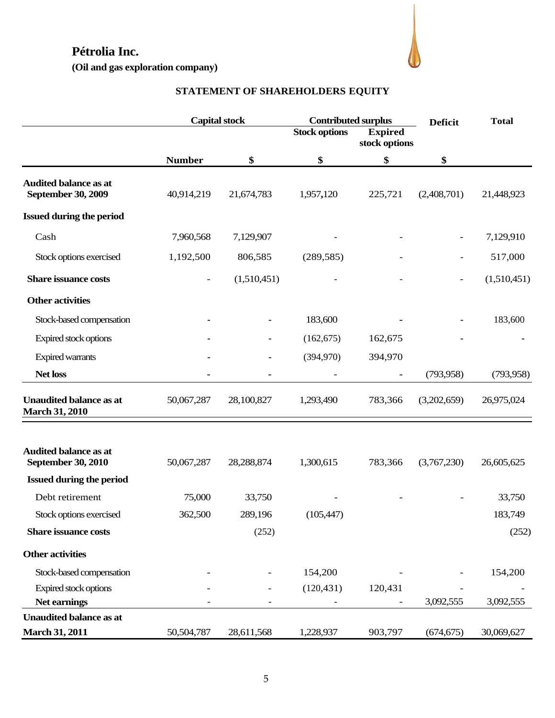**(Oil and gas exploration company)** 



## **STATEMENT OF SHAREHOLDERS**' **EQUITY**

|                                                           |                | <b>Capital stock</b> | <b>Contributed surplus</b> |                                 | <b>Deficit</b> | <b>Total</b> |
|-----------------------------------------------------------|----------------|----------------------|----------------------------|---------------------------------|----------------|--------------|
|                                                           |                |                      | <b>Stock options</b>       | <b>Expired</b><br>stock options |                |              |
|                                                           | <b>Number</b>  | \$                   | \$                         | \$                              | \$             |              |
| <b>Audited balance as at</b><br><b>September 30, 2009</b> | 40,914,219     | 21,674,783           | 1,957,120                  | 225,721                         | (2,408,701)    | 21,448,923   |
| <b>Issued during the period</b>                           |                |                      |                            |                                 |                |              |
| Cash                                                      | 7,960,568      | 7,129,907            |                            |                                 |                | 7,129,910    |
| Stock options exercised                                   | 1,192,500      | 806,585              | (289, 585)                 |                                 |                | 517,000      |
| <b>Share issuance costs</b>                               | $\overline{a}$ | (1,510,451)          |                            |                                 | $\overline{a}$ | (1,510,451)  |
| <b>Other activities</b>                                   |                |                      |                            |                                 |                |              |
| Stock-based compensation                                  |                |                      | 183,600                    |                                 |                | 183,600      |
| Expired stock options                                     |                |                      | (162, 675)                 | 162,675                         |                |              |
| <b>Expired warrants</b>                                   |                |                      | (394,970)                  | 394,970                         |                |              |
| Net loss                                                  |                |                      |                            |                                 | (793, 958)     | (793, 958)   |
| <b>Unaudited balance as at</b><br><b>March 31, 2010</b>   | 50,067,287     | 28,100,827           | 1,293,490                  | 783,366                         | (3,202,659)    | 26,975,024   |
|                                                           |                |                      |                            |                                 |                |              |
| <b>Audited balance as at</b><br><b>September 30, 2010</b> | 50,067,287     | 28,288,874           | 1,300,615                  | 783,366                         | (3,767,230)    | 26,605,625   |
| <b>Issued during the period</b>                           |                |                      |                            |                                 |                |              |
| Debt retirement                                           | 75,000         | 33,750               |                            |                                 |                | 33,750       |
| Stock options exercised                                   | 362,500        | 289,196              | (105, 447)                 |                                 |                | 183,749      |
| <b>Share issuance costs</b>                               |                | (252)                |                            |                                 |                | (252)        |
| <b>Other activities</b>                                   |                |                      |                            |                                 |                |              |
| Stock-based compensation                                  |                |                      | 154,200                    |                                 |                | 154,200      |
| Expired stock options                                     |                |                      | (120, 431)                 | 120,431                         |                |              |
| Net earnings                                              |                |                      |                            |                                 | 3,092,555      | 3,092,555    |
| <b>Unaudited balance as at</b>                            |                |                      |                            |                                 |                |              |
| <b>March 31, 2011</b>                                     | 50,504,787     | 28,611,568           | 1,228,937                  | 903,797                         | (674, 675)     | 30,069,627   |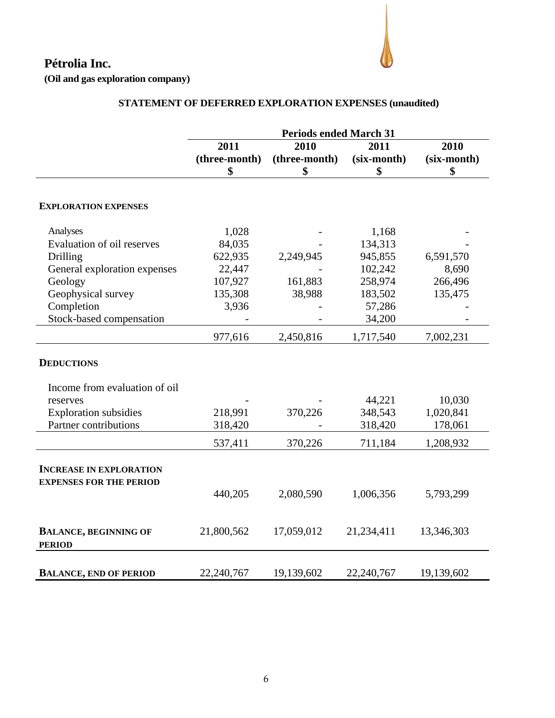**(Oil and gas exploration company)** 

## **STATEMENT OF DEFERRED EXPLORATION EXPENSES (unaudited)**

|                                               | <b>Periods ended March 31</b> |               |             |             |  |
|-----------------------------------------------|-------------------------------|---------------|-------------|-------------|--|
|                                               | 2011                          | 2010          | 2011        | 2010        |  |
|                                               | (three-month)                 | (three-month) | (six-month) | (six-month) |  |
|                                               | \$                            | \$            | \$          | \$          |  |
|                                               |                               |               |             |             |  |
| <b>EXPLORATION EXPENSES</b>                   |                               |               |             |             |  |
| Analyses                                      | 1,028                         |               | 1,168       |             |  |
| Evaluation of oil reserves                    | 84,035                        |               | 134,313     |             |  |
| Drilling                                      | 622,935                       | 2,249,945     | 945,855     | 6,591,570   |  |
| General exploration expenses                  | 22,447                        |               | 102,242     | 8,690       |  |
| Geology                                       | 107,927                       | 161,883       | 258,974     | 266,496     |  |
| Geophysical survey                            | 135,308                       | 38,988        | 183,502     | 135,475     |  |
| Completion                                    | 3,936                         |               | 57,286      |             |  |
| Stock-based compensation                      |                               |               | 34,200      |             |  |
|                                               | 977,616                       | 2,450,816     | 1,717,540   | 7,002,231   |  |
| <b>DEDUCTIONS</b>                             |                               |               |             |             |  |
| Income from evaluation of oil                 |                               |               |             |             |  |
| reserves                                      |                               |               | 44,221      | 10,030      |  |
| <b>Exploration</b> subsidies                  | 218,991                       | 370,226       | 348,543     | 1,020,841   |  |
| Partner contributions                         | 318,420                       |               | 318,420     | 178,061     |  |
|                                               | 537,411                       | 370,226       | 711,184     | 1,208,932   |  |
| <b>INCREASE IN EXPLORATION</b>                |                               |               |             |             |  |
| <b>EXPENSES FOR THE PERIOD</b>                |                               |               |             |             |  |
|                                               | 440,205                       | 2,080,590     | 1,006,356   | 5,793,299   |  |
|                                               |                               |               |             |             |  |
| <b>BALANCE, BEGINNING OF</b><br><b>PERIOD</b> | 21,800,562                    | 17,059,012    | 21,234,411  | 13,346,303  |  |
|                                               |                               |               |             |             |  |
| <b>BALANCE, END OF PERIOD</b>                 | 22,240,767                    | 19,139,602    | 22,240,767  | 19,139,602  |  |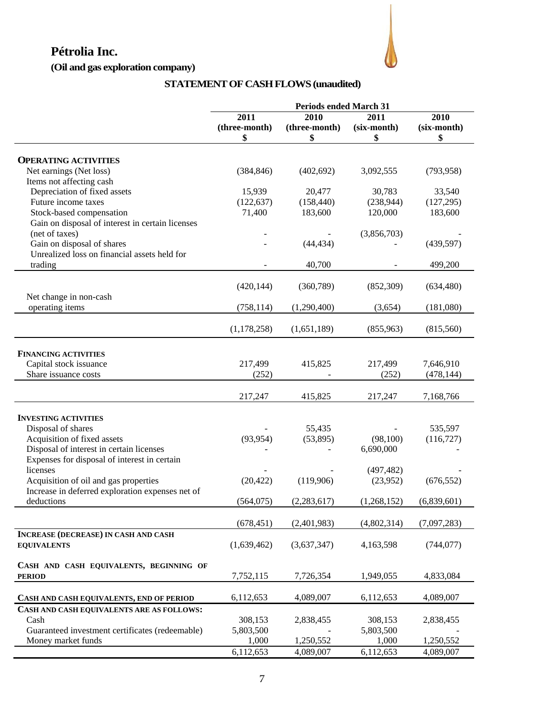## **(Oil and gas exploration company)**



## **STATEMENT OF CASH FLOWS (unaudited)**

|                                                  | <b>Periods ended March 31</b> |                       |                     |                     |
|--------------------------------------------------|-------------------------------|-----------------------|---------------------|---------------------|
|                                                  | 2011<br>(three-month)         | 2010<br>(three-month) | 2011<br>(six-month) | 2010<br>(six-month) |
|                                                  | \$                            | \$                    | \$                  | \$                  |
|                                                  |                               |                       |                     |                     |
| <b>OPERATING ACTIVITIES</b>                      |                               |                       |                     |                     |
| Net earnings (Net loss)                          | (384, 846)                    | (402, 692)            | 3,092,555           | (793, 958)          |
| Items not affecting cash                         |                               |                       |                     |                     |
| Depreciation of fixed assets                     | 15,939                        | 20,477                | 30,783              | 33,540              |
| Future income taxes                              | (122, 637)                    | (158, 440)            | (238, 944)          | (127, 295)          |
| Stock-based compensation                         | 71,400                        | 183,600               | 120,000             | 183,600             |
| Gain on disposal of interest in certain licenses |                               |                       |                     |                     |
| (net of taxes)                                   |                               |                       | (3,856,703)         |                     |
| Gain on disposal of shares                       |                               | (44, 434)             |                     | (439, 597)          |
| Unrealized loss on financial assets held for     |                               |                       |                     |                     |
| trading                                          |                               | 40,700                |                     | 499,200             |
|                                                  |                               |                       |                     |                     |
|                                                  | (420, 144)                    | (360, 789)            | (852, 309)          | (634, 480)          |
| Net change in non-cash                           |                               |                       |                     |                     |
| operating items                                  | (758, 114)                    | (1,290,400)           | (3,654)             | (181,080)           |
|                                                  |                               |                       |                     |                     |
|                                                  | (1,178,258)                   | (1,651,189)           | (855,963)           | (815,560)           |
|                                                  |                               |                       |                     |                     |
|                                                  |                               |                       |                     |                     |
| <b>FINANCING ACTIVITIES</b>                      |                               |                       |                     |                     |
| Capital stock issuance                           | 217,499                       | 415,825               | 217,499             | 7,646,910           |
| Share issuance costs                             | (252)                         |                       | (252)               | (478, 144)          |
|                                                  |                               |                       |                     |                     |
|                                                  | 217,247                       | 415,825               | 217,247             | 7,168,766           |
|                                                  |                               |                       |                     |                     |
| <b>INVESTING ACTIVITIES</b>                      |                               |                       |                     |                     |
| Disposal of shares                               |                               | 55,435                |                     | 535,597             |
| Acquisition of fixed assets                      | (93, 954)                     | (53,895)              | (98,100)            | (116,727)           |
| Disposal of interest in certain licenses         |                               |                       | 6,690,000           |                     |
| Expenses for disposal of interest in certain     |                               |                       |                     |                     |
| licenses                                         |                               |                       | (497, 482)          |                     |
| Acquisition of oil and gas properties            | (20, 422)                     | (119,906)             | (23,952)            | (676, 552)          |
| Increase in deferred exploration expenses net of |                               |                       |                     |                     |
| deductions                                       | (564, 075)                    | (2,283,617)           | (1,268,152)         | (6,839,601)         |
|                                                  |                               |                       |                     |                     |
|                                                  | (678, 451)                    | (2,401,983)           | (4,802,314)         | (7,097,283)         |
| <b>INCREASE (DECREASE) IN CASH AND CASH</b>      |                               |                       |                     |                     |
| <b>EQUIVALENTS</b>                               | (1,639,462)                   | (3,637,347)           | 4,163,598           | (744, 077)          |
|                                                  |                               |                       |                     |                     |
| CASH AND CASH EQUIVALENTS, BEGINNING OF          |                               |                       |                     |                     |
| <b>PERIOD</b>                                    | 7,752,115                     | 7,726,354             | 1,949,055           | 4,833,084           |
|                                                  |                               |                       |                     |                     |
| CASH AND CASH EQUIVALENTS, END OF PERIOD         | 6,112,653                     | 4,089,007             | 6,112,653           | 4,089,007           |
| CASH AND CASH EQUIVALENTS ARE AS FOLLOWS:        |                               |                       |                     |                     |
| Cash                                             | 308,153                       | 2,838,455             | 308,153             | 2,838,455           |
| Guaranteed investment certificates (redeemable)  | 5,803,500                     |                       | 5,803,500           |                     |
| Money market funds                               | 1,000                         | 1,250,552             | 1,000               | 1,250,552           |
|                                                  | 6,112,653                     | 4,089,007             | 6,112,653           | 4,089,007           |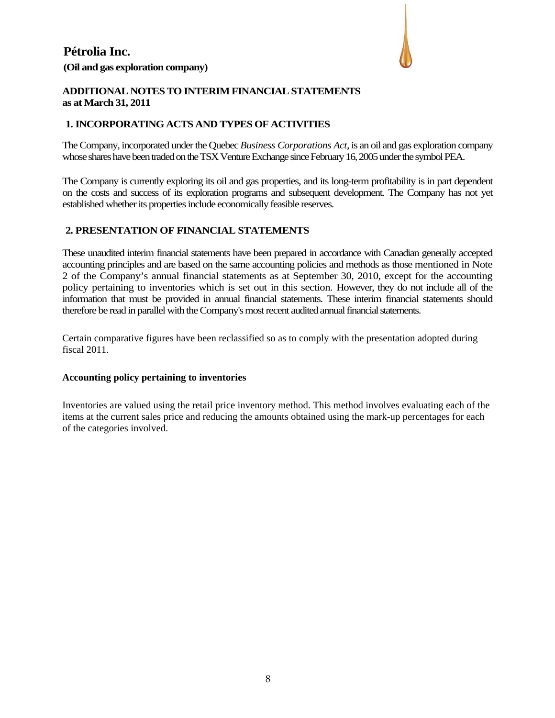## **Pétrolia Inc. (Oil and gas exploration company)**



#### **ADDITIONAL NOTES TO INTERIM FINANCIAL STATEMENTS as at March 31, 2011**

#### **1. INCORPORATING ACTS AND TYPES OF ACTIVITIES**

The Company, incorporated under the Quebec *Business Corporations Act*, is an oil and gas exploration company whose shares have been traded on the TSX Venture Exchange since February 16, 2005 under the symbol PEA.

The Company is currently exploring its oil and gas properties, and its long-term profitability is in part dependent on the costs and success of its exploration programs and subsequent development. The Company has not yet established whether its properties include economically feasible reserves.

#### **2. PRESENTATION OF FINANCIAL STATEMENTS**

These unaudited interim financial statements have been prepared in accordance with Canadian generally accepted accounting principles and are based on the same accounting policies and methods as those mentioned in Note 2 of the Company's annual financial statements as at September 30, 2010, except for the accounting policy pertaining to inventories which is set out in this section. However, they do not include all of the information that must be provided in annual financial statements. These interim financial statements should therefore be read in parallel with the Company's most recent audited annual financial statements.

Certain comparative figures have been reclassified so as to comply with the presentation adopted during fiscal 2011.

#### **Accounting policy pertaining to inventories**

Inventories are valued using the retail price inventory method. This method involves evaluating each of the items at the current sales price and reducing the amounts obtained using the mark-up percentages for each of the categories involved.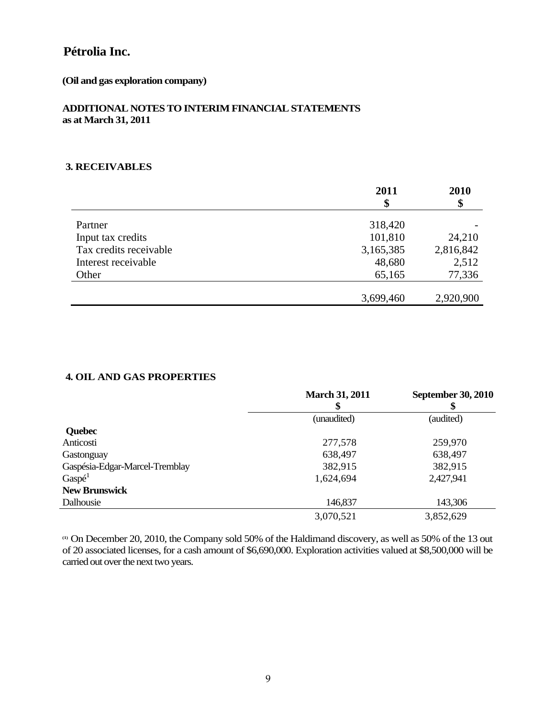#### **(Oil and gas exploration company)**

#### **ADDITIONAL NOTES TO INTERIM FINANCIAL STATEMENTS as at March 31, 2011**

#### **3. RECEIVABLES**

|                        | 2011      | 2010      |
|------------------------|-----------|-----------|
|                        | \$        | \$        |
| Partner                | 318,420   |           |
| Input tax credits      | 101,810   | 24,210    |
| Tax credits receivable | 3,165,385 | 2,816,842 |
| Interest receivable    | 48,680    | 2,512     |
| Other                  | 65,165    | 77,336    |
|                        |           |           |
|                        | 3,699,460 | 2,920,900 |

#### **4. OIL AND GAS PROPERTIES**

|                                | <b>March 31, 2011</b><br>\$ | <b>September 30, 2010</b><br>\$ |
|--------------------------------|-----------------------------|---------------------------------|
|                                | (unaudited)                 | (audited)                       |
| <b>Quebec</b>                  |                             |                                 |
| Anticosti                      | 277,578                     | 259,970                         |
| Gastonguay                     | 638,497                     | 638,497                         |
| Gaspésia-Edgar-Marcel-Tremblay | 382,915                     | 382,915                         |
| Gasp <sup>1</sup>              | 1,624,694                   | 2,427,941                       |
| <b>New Brunswick</b>           |                             |                                 |
| Dalhousie                      | 146,837                     | 143,306                         |
|                                | 3,070,521                   | 3,852,629                       |

**(1)** On December 20, 2010, the Company sold 50% of the Haldimand discovery, as well as 50% of the 13 out of 20 associated licenses, for a cash amount of \$6,690,000. Exploration activities valued at \$8,500,000 will be carried out over the next two years.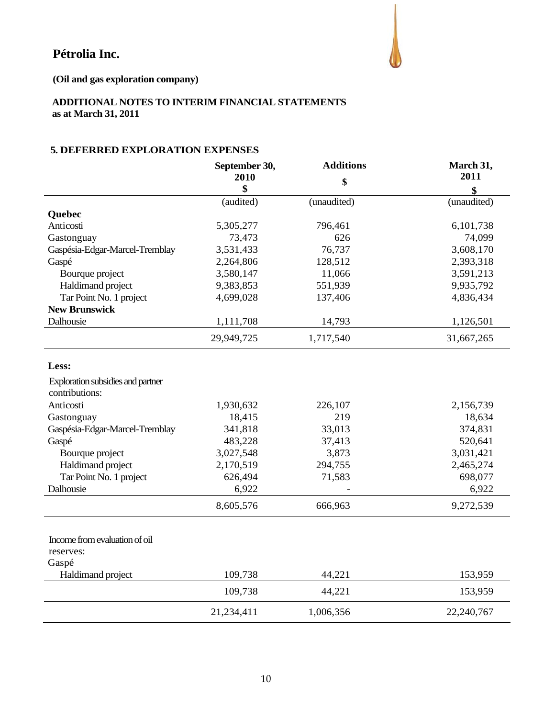

**(Oil and gas exploration company)** 

#### **ADDITIONAL NOTES TO INTERIM FINANCIAL STATEMENTS as at March 31, 2011**

#### **5. DEFERRED EXPLORATION EXPENSES**

|                                                     | September 30, | <b>Additions</b> | March 31,   |  |
|-----------------------------------------------------|---------------|------------------|-------------|--|
|                                                     | 2010          | \$               | 2011        |  |
|                                                     | \$            |                  | \$          |  |
|                                                     | (audited)     | (unaudited)      | (unaudited) |  |
| Quebec                                              |               |                  |             |  |
| Anticosti                                           | 5,305,277     | 796,461          | 6,101,738   |  |
| Gastonguay                                          | 73,473        | 626              | 74,099      |  |
| Gaspésia-Edgar-Marcel-Tremblay                      | 3,531,433     | 76,737           | 3,608,170   |  |
| Gaspé                                               | 2,264,806     | 128,512          | 2,393,318   |  |
| Bourque project                                     | 3,580,147     | 11,066           | 3,591,213   |  |
| Haldimand project                                   | 9,383,853     | 551,939          | 9,935,792   |  |
| Tar Point No. 1 project                             | 4,699,028     | 137,406          | 4,836,434   |  |
| <b>New Brunswick</b>                                |               |                  |             |  |
| Dalhousie                                           | 1,111,708     | 14,793           | 1,126,501   |  |
|                                                     | 29,949,725    | 1,717,540        | 31,667,265  |  |
| Less:                                               |               |                  |             |  |
| Exploration subsidies and partner<br>contributions: |               |                  |             |  |
| Anticosti                                           | 1,930,632     | 226,107          | 2,156,739   |  |
| Gastonguay                                          | 18,415        | 219              | 18,634      |  |
| Gaspésia-Edgar-Marcel-Tremblay                      | 341,818       | 33,013           | 374,831     |  |
| Gaspé                                               | 483,228       | 37,413           | 520,641     |  |
| Bourque project                                     | 3,027,548     | 3,873            | 3,031,421   |  |
| Haldimand project                                   | 2,170,519     | 294,755          | 2,465,274   |  |
| Tar Point No. 1 project                             | 626,494       | 71,583           | 698,077     |  |
| Dalhousie                                           | 6,922         |                  | 6,922       |  |
|                                                     | 8,605,576     | 666,963          | 9,272,539   |  |
| Income from evaluation of oil<br>reserves:<br>Gaspé |               |                  |             |  |
| Haldimand project                                   | 109,738       | 44,221           | 153,959     |  |
|                                                     | 109,738       | 44,221           | 153,959     |  |
|                                                     | 21,234,411    | 1,006,356        | 22,240,767  |  |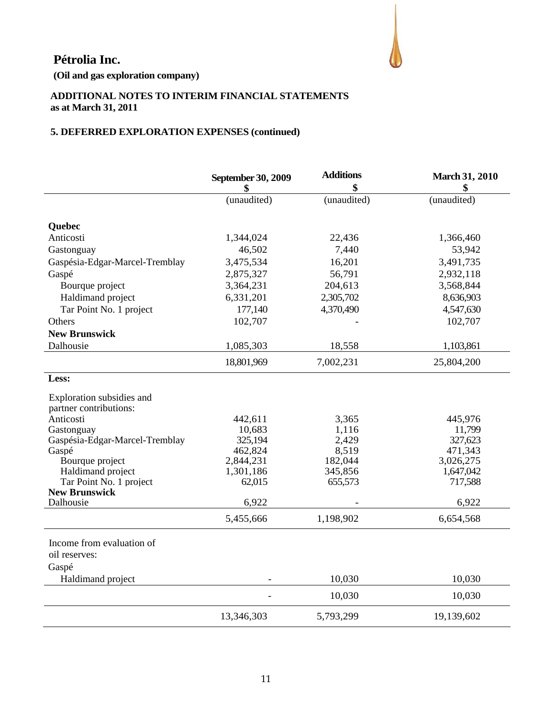

**(Oil and gas exploration company)**

#### **ADDITIONAL NOTES TO INTERIM FINANCIAL STATEMENTS as at March 31, 2011**

## **5. DEFERRED EXPLORATION EXPENSES (continued)**

|                                                     | September 30, 2009 | <b>Additions</b> | <b>March 31, 2010</b> |
|-----------------------------------------------------|--------------------|------------------|-----------------------|
|                                                     | \$                 | \$               | \$                    |
|                                                     | (unaudited)        | (unaudited)      | (unaudited)           |
| <b>Quebec</b>                                       |                    |                  |                       |
| Anticosti                                           | 1,344,024          | 22,436           | 1,366,460             |
| Gastonguay                                          | 46,502             | 7,440            | 53,942                |
| Gaspésia-Edgar-Marcel-Tremblay                      | 3,475,534          | 16,201           | 3,491,735             |
| Gaspé                                               | 2,875,327          | 56,791           | 2,932,118             |
| Bourque project                                     | 3,364,231          | 204,613          | 3,568,844             |
| Haldimand project                                   | 6,331,201          | 2,305,702        | 8,636,903             |
| Tar Point No. 1 project                             | 177,140            | 4,370,490        | 4,547,630             |
| Others                                              | 102,707            |                  | 102,707               |
| <b>New Brunswick</b>                                |                    |                  |                       |
| Dalhousie                                           | 1,085,303          | 18,558           | 1,103,861             |
|                                                     | 18,801,969         | 7,002,231        | 25,804,200            |
| Less:                                               |                    |                  |                       |
| Exploration subsidies and<br>partner contributions: |                    |                  |                       |
| Anticosti                                           | 442,611            | 3,365            | 445,976               |
| Gastonguay                                          | 10,683             | 1,116            | 11,799                |
| Gaspésia-Edgar-Marcel-Tremblay                      | 325,194            | 2,429            | 327,623               |
| Gaspé                                               | 462,824            | 8,519            | 471,343               |
| Bourque project                                     | 2,844,231          | 182,044          | 3,026,275             |
| Haldimand project                                   | 1,301,186          | 345,856          | 1,647,042             |
| Tar Point No. 1 project<br><b>New Brunswick</b>     | 62,015             | 655,573          | 717,588               |
| Dalhousie                                           | 6,922              |                  | 6,922                 |
|                                                     | 5,455,666          | 1,198,902        | 6,654,568             |
| Income from evaluation of<br>oil reserves:<br>Gaspé |                    |                  |                       |
| Haldimand project                                   |                    | 10,030           | 10,030                |
|                                                     |                    |                  |                       |
|                                                     |                    | 10,030           | 10,030                |
|                                                     | 13,346,303         | 5,793,299        | 19,139,602            |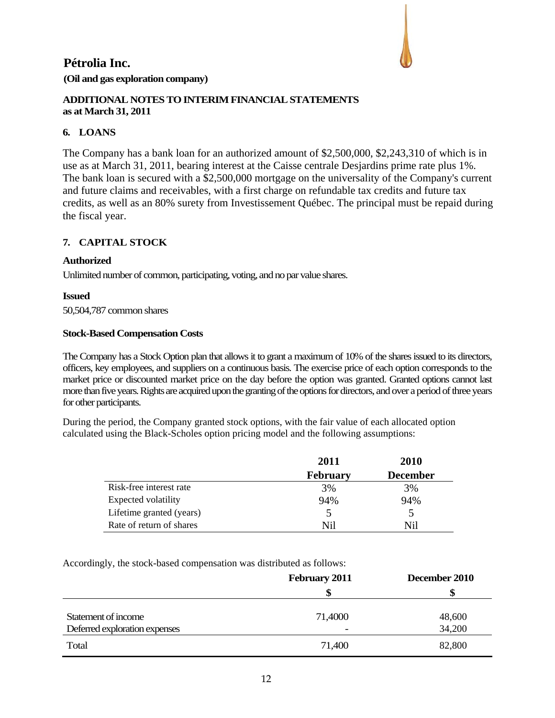## **Pétrolia Inc. (Oil and gas exploration company)**



#### **ADDITIONAL NOTES TO INTERIM FINANCIAL STATEMENTS as at March 31, 2011**

#### **6. LOANS**

The Company has a bank loan for an authorized amount of \$2,500,000, \$2,243,310 of which is in use as at March 31, 2011, bearing interest at the Caisse centrale Desjardins prime rate plus 1%. The bank loan is secured with a \$2,500,000 mortgage on the universality of the Company's current and future claims and receivables, with a first charge on refundable tax credits and future tax credits, as well as an 80% surety from Investissement Québec. The principal must be repaid during the fiscal year.

#### **7. CAPITAL STOCK**

#### **Authorized**

Unlimited number of common, participating, voting, and no par value shares.

#### **Issued**

50,504,787 common shares

#### **Stock-Based Compensation Costs**

The Company has a Stock Option plan that allows it to grant a maximum of 10% of the shares issued to its directors, officers, key employees, and suppliers on a continuous basis. The exercise price of each option corresponds to the market price or discounted market price on the day before the option was granted. Granted options cannot last more than five years. Rights are acquired upon the granting of the options for directors, and over a period of three years for other participants.

During the period, the Company granted stock options, with the fair value of each allocated option calculated using the Black-Scholes option pricing model and the following assumptions:

|                            | 2011            | <b>2010</b>     |
|----------------------------|-----------------|-----------------|
|                            | <b>February</b> | <b>December</b> |
| Risk-free interest rate    | 3%              | 3%              |
| <b>Expected volatility</b> | 94%             | 94%             |
| Lifetime granted (years)   | 5               |                 |
| Rate of return of shares   | Nil             | Nil             |

Accordingly, the stock-based compensation was distributed as follows:

|                               | <b>February 2011</b>     | December 2010 |
|-------------------------------|--------------------------|---------------|
|                               |                          |               |
| Statement of income           | 71,4000                  | 48,600        |
| Deferred exploration expenses | $\overline{\phantom{0}}$ | 34,200        |
| Total                         | 71,400                   | 82,800        |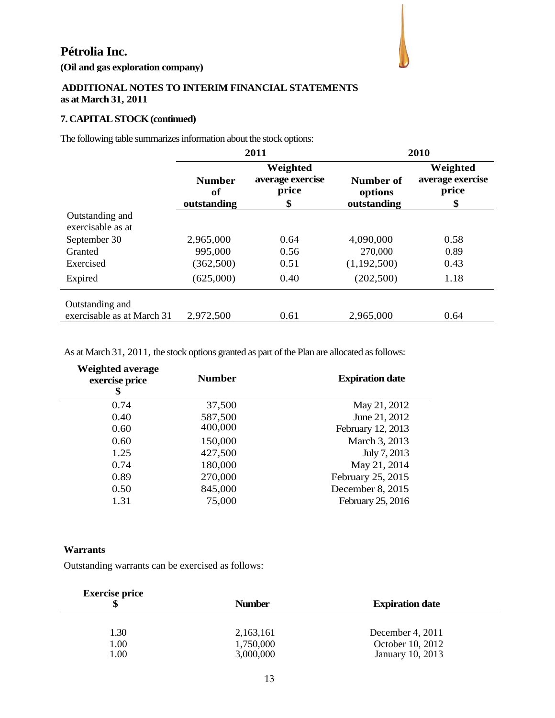**(Oil and gas exploration company)**

#### **ADDITIONAL NOTES TO INTERIM FINANCIAL STATEMENTS as at March 31, 2011**

### **7. CAPITAL STOCK (continued)**

The following table summarizes information about the stock options:

|                                      | 2011                               |                                             |                                     | 2010                                        |
|--------------------------------------|------------------------------------|---------------------------------------------|-------------------------------------|---------------------------------------------|
|                                      | <b>Number</b><br>of<br>outstanding | Weighted<br>average exercise<br>price<br>\$ | Number of<br>options<br>outstanding | Weighted<br>average exercise<br>price<br>\$ |
| Outstanding and<br>exercisable as at |                                    |                                             |                                     |                                             |
| September 30                         | 2,965,000                          | 0.64                                        | 4,090,000                           | 0.58                                        |
| Granted                              | 995,000                            | 0.56                                        | 270,000                             | 0.89                                        |
| Exercised                            | (362, 500)                         | 0.51                                        | (1,192,500)                         | 0.43                                        |
| Expired                              | (625,000)                          | 0.40                                        | (202, 500)                          | 1.18                                        |
| Outstanding and                      |                                    |                                             |                                     |                                             |
| exercisable as at March 31           | 2,972,500                          | 0.61                                        | 2,965,000                           | 0.64                                        |

As at March 31, 2011, the stock options granted as part of the Plan are allocated as follows:

| <b>Number</b> | <b>Expiration date</b> |
|---------------|------------------------|
| 37,500        | May 21, 2012           |
| 587,500       | June 21, 2012          |
| 400,000       | February 12, 2013      |
| 150,000       | March 3, 2013          |
| 427,500       | July 7, 2013           |
| 180,000       | May 21, 2014           |
| 270,000       | February 25, 2015      |
| 845,000       | December 8, 2015       |
| 75,000        | February 25, 2016      |
|               |                        |

#### **Warrants**

Outstanding warrants can be exercised as follows:

| <b>Number</b> | <b>Expiration date</b> |  |
|---------------|------------------------|--|
|               |                        |  |
| 2,163,161     | December 4, 2011       |  |
|               | October 10, 2012       |  |
| 3,000,000     | January 10, 2013       |  |
|               | 1,750,000              |  |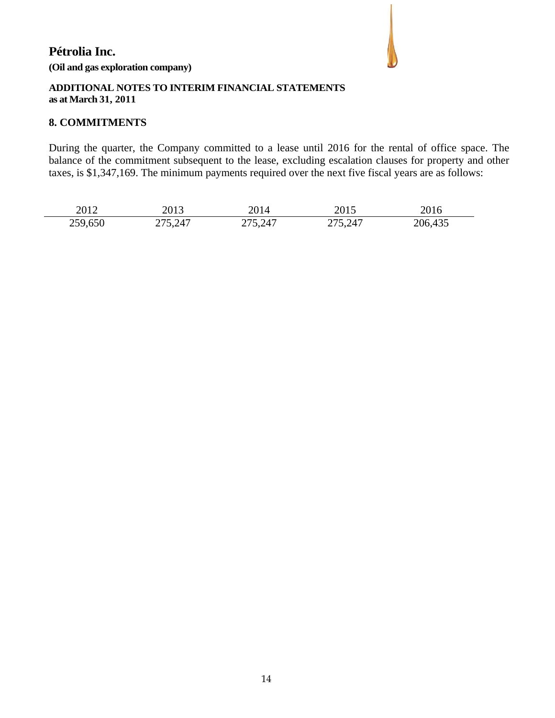## **Pétrolia Inc. (Oil and gas exploration company)**



#### **ADDITIONAL NOTES TO INTERIM FINANCIAL STATEMENTS as at March 31, 2011**

#### **8. COMMITMENTS**

During the quarter, the Company committed to a lease until 2016 for the rental of office space. The balance of the commitment subsequent to the lease, excluding escalation clauses for property and other taxes, is \$1,347,169. The minimum payments required over the next five fiscal years are as follows:

| 2012    | 2013    | 2014    | 2015    | 2016    |
|---------|---------|---------|---------|---------|
| 259,650 | 275,247 | 275,247 | 275,247 | 206,435 |